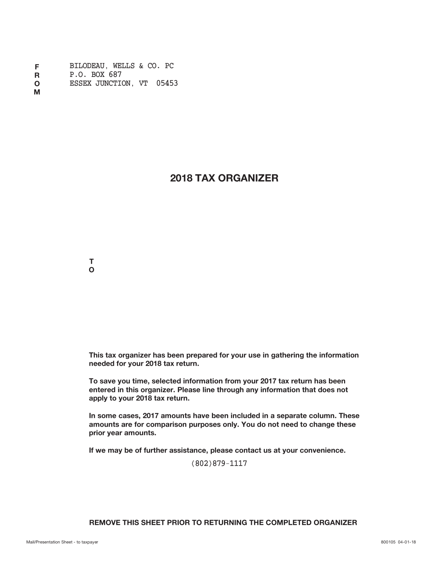| F | BILODEAU. WELLS & CO. PC |  |  |
|---|--------------------------|--|--|
| R | P.O. BOX 687             |  |  |
| O | ESSEX JUNCTION, VT 05453 |  |  |

**M**

# **2018 TAX ORGANIZER**

**T O**

**This tax organizer has been prepared for your use in gathering the information needed for your 2018 tax return.**

**To save you time, selected information from your 2017 tax return has been entered in this organizer. Please line through any information that does not apply to your 2018 tax return.**

**In some cases, 2017 amounts have been included in a separate column. These amounts are for comparison purposes only. You do not need to change these prior year amounts.**

**If we may be of further assistance, please contact us at your convenience.**

(802)879-1117

# **REMOVE THIS SHEET PRIOR TO RETURNING THE COMPLETED ORGANIZER**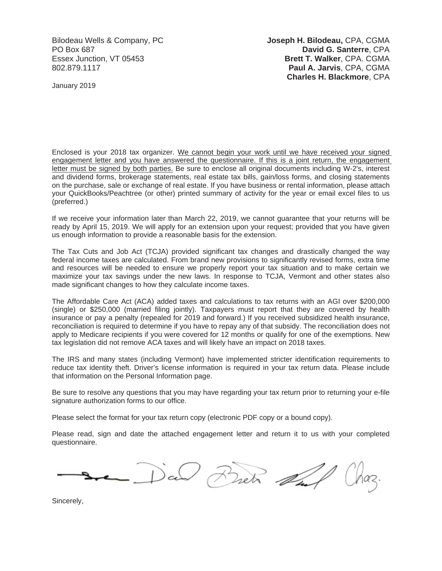Bilodeau Wells & Company, PC **Joseph H. Bilodeau,** CPA, CGMA PO Box 687 **David G. Santerre**, CPA Essex Junction, VT 05453 **Brett T. Walker**, CPA. CGMA 802.879.1117 **Paul A. Jarvis**, CPA, CGMA **Charles H. Blackmore**, CPA

January 2019

Enclosed is your 2018 tax organizer. We cannot begin your work until we have received your signed engagement letter and you have answered the questionnaire. If this is a joint return, the engagement letter must be signed by both parties. Be sure to enclose all original documents including W-2's, interest and dividend forms, brokerage statements, real estate tax bills, gain/loss forms, and closing statements on the purchase, sale or exchange of real estate. If you have business or rental information, please attach your QuickBooks/Peachtree (or other) printed summary of activity for the year or email excel files to us (preferred.)

If we receive your information later than March 22, 2019, we cannot guarantee that your returns will be ready by April 15, 2019. We will apply for an extension upon your request; provided that you have given us enough information to provide a reasonable basis for the extension.

The Tax Cuts and Job Act (TCJA) provided significant tax changes and drastically changed the way federal income taxes are calculated. From brand new provisions to significantly revised forms, extra time and resources will be needed to ensure we properly report your tax situation and to make certain we maximize your tax savings under the new laws. In response to TCJA, Vermont and other states also made significant changes to how they calculate income taxes.

The Affordable Care Act (ACA) added taxes and calculations to tax returns with an AGI over \$200,000 (single) or \$250,000 (married filing jointly). Taxpayers must report that they are covered by health insurance or pay a penalty (repealed for 2019 and forward.) If you received subsidized health insurance, reconciliation is required to determine if you have to repay any of that subsidy. The reconciliation does not apply to Medicare recipients if you were covered for 12 months or qualify for one of the exemptions. New tax legislation did not remove ACA taxes and will likely have an impact on 2018 taxes.

The IRS and many states (including Vermont) have implemented stricter identification requirements to reduce tax identity theft. Driver's license information is required in your tax return data. Please include that information on the Personal Information page.

Be sure to resolve any questions that you may have regarding your tax return prior to returning your e-file signature authorization forms to our office.

Please select the format for your tax return copy (electronic PDF copy or a bound copy).

Please read, sign and date the attached engagement letter and return it to us with your completed questionnaire.

Bretz dul

Sincerely,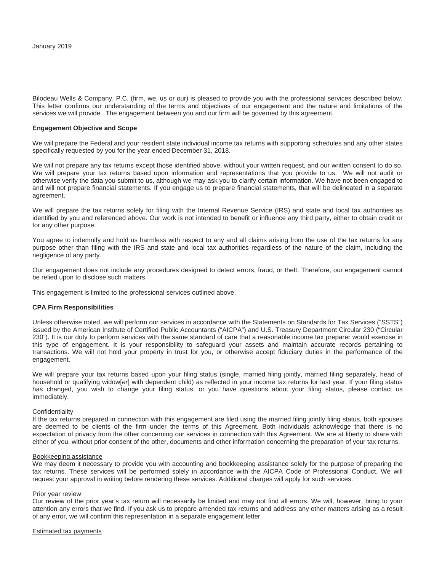Bilodeau Wells & Company, P.C. (firm, we, us or our) is pleased to provide you with the professional services described below. This letter confirms our understanding of the terms and objectives of our engagement and the nature and limitations of the services we will provide. The engagement between you and our firm will be governed by this agreement.

### **Engagement Objective and Scope**

We will prepare the Federal and your resident state individual income tax returns with supporting schedules and any other states specifically requested by you for the year ended December 31, 2018.

We will not prepare any tax returns except those identified above, without your written request, and our written consent to do so. We will prepare your tax returns based upon information and representations that you provide to us. We will not audit or otherwise verify the data you submit to us, although we may ask you to clarify certain information. We have not been engaged to and will not prepare financial statements. If you engage us to prepare financial statements, that will be delineated in a separate agreement.

We will prepare the tax returns solely for filing with the Internal Revenue Service (IRS) and state and local tax authorities as identified by you and referenced above. Our work is not intended to benefit or influence any third party, either to obtain credit or for any other purpose.

You agree to indemnify and hold us harmless with respect to any and all claims arising from the use of the tax returns for any purpose other than filing with the IRS and state and local tax authorities regardless of the nature of the claim, including the negligence of any party.

Our engagement does not include any procedures designed to detect errors, fraud, or theft. Therefore, our engagement cannot be relied upon to disclose such matters.

This engagement is limited to the professional services outlined above.

### **CPA Firm Responsibilities**

Unless otherwise noted, we will perform our services in accordance with the Statements on Standards for Tax Services ("SSTS") issued by the American Institute of Certified Public Accountants ("AICPA") and U.S. Treasury Department Circular 230 ("Circular 230"). It is our duty to perform services with the same standard of care that a reasonable income tax preparer would exercise in this type of engagement. It is your responsibility to safeguard your assets and maintain accurate records pertaining to transactions. We will not hold your property in trust for you, or otherwise accept fiduciary duties in the performance of the engagement.

We will prepare your tax returns based upon your filing status (single, married filing jointly, married filing separately, head of household or qualifying widow[*er*] with dependent child) as reflected in your income tax returns for last year. If your filing status has changed, you wish to change your filing status, or you have questions about your filing status, please contact us immediately.

#### **Confidentiality**

If the tax returns prepared in connection with this engagement are filed using the married filing jointly filing status, both spouses are deemed to be clients of the firm under the terms of this Agreement. Both individuals acknowledge that there is no expectation of privacy from the other concerning our services in connection with this Agreement. We are at liberty to share with either of you, without prior consent of the other, documents and other information concerning the preparation of your tax returns.

#### Bookkeeping assistance

We may deem it necessary to provide you with accounting and bookkeeping assistance solely for the purpose of preparing the tax returns. These services will be performed solely in accordance with the AICPA Code of Professional Conduct. We will request your approval in writing before rendering these services. Additional charges will apply for such services.

#### Prior year review

Our review of the prior year's tax return will necessarily be limited and may not find all errors. We will, however, bring to your attention any errors that we find. If you ask us to prepare amended tax returns and address any other matters arising as a result of any error, we will confirm this representation in a separate engagement letter.

Estimated tax payments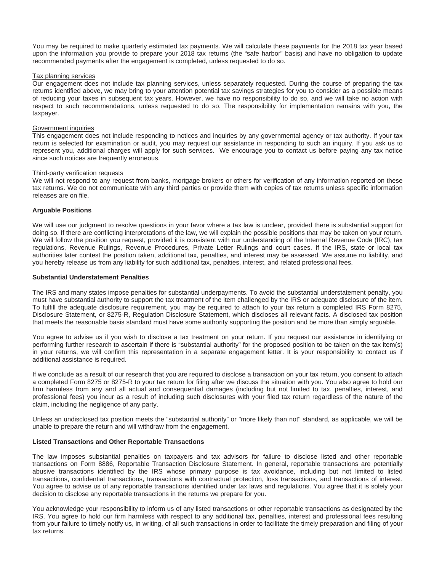You may be required to make quarterly estimated tax payments. We will calculate these payments for the 2018 tax year based upon the information you provide to prepare your 2018 tax returns (the "safe harbor" basis) and have no obligation to update recommended payments after the engagement is completed, unless requested to do so.

### Tax planning services

Our engagement does not include tax planning services, unless separately requested. During the course of preparing the tax returns identified above, we may bring to your attention potential tax savings strategies for you to consider as a possible means of reducing your taxes in subsequent tax years. However, we have no responsibility to do so, and we will take no action with respect to such recommendations, unless requested to do so. The responsibility for implementation remains with you, the taxpayer.

### Government inquiries

This engagement does not include responding to notices and inquiries by any governmental agency or tax authority. If your tax return is selected for examination or audit, you may request our assistance in responding to such an inquiry. If you ask us to represent you, additional charges will apply for such services. We encourage you to contact us before paying any tax notice since such notices are frequently erroneous.

#### Third-party verification requests

We will not respond to any request from banks, mortgage brokers or others for verification of any information reported on these tax returns. We do not communicate with any third parties or provide them with copies of tax returns unless specific information releases are on file.

# **Arguable Positions**

We will use our judgment to resolve questions in your favor where a tax law is unclear, provided there is substantial support for doing so. If there are conflicting interpretations of the law, we will explain the possible positions that may be taken on your return. We will follow the position you request, provided it is consistent with our understanding of the Internal Revenue Code (IRC), tax regulations, Revenue Rulings, Revenue Procedures, Private Letter Rulings and court cases. If the IRS, state or local tax authorities later contest the position taken, additional tax, penalties, and interest may be assessed. We assume no liability, and you hereby release us from any liability for such additional tax, penalties, interest, and related professional fees.

### **Substantial Understatement Penalties**

The IRS and many states impose penalties for substantial underpayments. To avoid the substantial understatement penalty, you must have substantial authority to support the tax treatment of the item challenged by the IRS or adequate disclosure of the item. To fulfill the adequate disclosure requirement, you may be required to attach to your tax return a completed IRS Form 8275, Disclosure Statement, or 8275-R, Regulation Disclosure Statement, which discloses all relevant facts. A disclosed tax position that meets the reasonable basis standard must have some authority supporting the position and be more than simply arguable.

You agree to advise us if you wish to disclose a tax treatment on your return. If you request our assistance in identifying or performing further research to ascertain if there is "substantial authority" for the proposed position to be taken on the tax item(s) in your returns, we will confirm this representation in a separate engagement letter. It is your responsibility to contact us if additional assistance is required.

If we conclude as a result of our research that you are required to disclose a transaction on your tax return, you consent to attach a completed Form 8275 or 8275-R to your tax return for filing after we discuss the situation with you. You also agree to hold our firm harmless from any and all actual and consequential damages (including but not limited to tax, penalties, interest, and professional fees) you incur as a result of including such disclosures with your filed tax return regardless of the nature of the claim, including the negligence of any party.

Unless an undisclosed tax position meets the "substantial authority" or "more likely than not" standard, as applicable, we will be unable to prepare the return and will withdraw from the engagement.

### **Listed Transactions and Other Reportable Transactions**

The law imposes substantial penalties on taxpayers and tax advisors for failure to disclose listed and other reportable transactions on Form 8886, Reportable Transaction Disclosure Statement. In general, reportable transactions are potentially abusive transactions identified by the IRS whose primary purpose is tax avoidance, including but not limited to listed transactions, confidential transactions, transactions with contractual protection, loss transactions, and transactions of interest. You agree to advise us of any reportable transactions identified under tax laws and regulations. You agree that it is solely your decision to disclose any reportable transactions in the returns we prepare for you.

You acknowledge your responsibility to inform us of any listed transactions or other reportable transactions as designated by the IRS. You agree to hold our firm harmless with respect to any additional tax, penalties, interest and professional fees resulting from your failure to timely notify us, in writing, of all such transactions in order to facilitate the timely preparation and filing of your tax returns.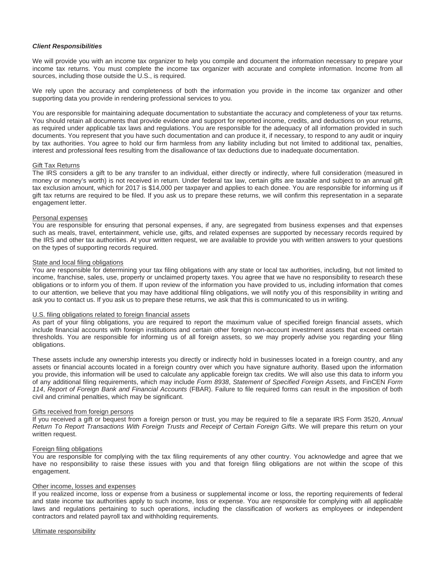# *Client Responsibilities*

We will provide you with an income tax organizer to help you compile and document the information necessary to prepare your income tax returns. You must complete the income tax organizer with accurate and complete information. Income from all sources, including those outside the U.S., is required.

We rely upon the accuracy and completeness of both the information you provide in the income tax organizer and other supporting data you provide in rendering professional services to you.

You are responsible for maintaining adequate documentation to substantiate the accuracy and completeness of your tax returns. You should retain all documents that provide evidence and support for reported income, credits, and deductions on your returns, as required under applicable tax laws and regulations. You are responsible for the adequacy of all information provided in such documents. You represent that you have such documentation and can produce it, if necessary, to respond to any audit or inquiry by tax authorities. You agree to hold our firm harmless from any liability including but not limited to additional tax, penalties, interest and professional fees resulting from the disallowance of tax deductions due to inadequate documentation.

## Gift Tax Returns

The IRS considers a gift to be any transfer to an individual, either directly or indirectly, where full consideration (measured in money or money's worth) is not received in return. Under federal tax law, certain gifts are taxable and subject to an annual gift tax exclusion amount, which for 2017 is \$14,000 per taxpayer and applies to each donee. You are responsible for informing us if gift tax returns are required to be filed. If you ask us to prepare these returns, we will confirm this representation in a separate engagement letter.

### Personal expenses

You are responsible for ensuring that personal expenses, if any, are segregated from business expenses and that expenses such as meals, travel, entertainment, vehicle use, gifts, and related expenses are supported by necessary records required by the IRS and other tax authorities. At your written request, we are available to provide you with written answers to your questions on the types of supporting records required.

# State and local filing obligations

You are responsible for determining your tax filing obligations with any state or local tax authorities, including, but not limited to income, franchise, sales, use, property or unclaimed property taxes. You agree that we have no responsibility to research these obligations or to inform you of them. If upon review of the information you have provided to us, including information that comes to our attention, we believe that you may have additional filing obligations, we will notify you of this responsibility in writing and ask you to contact us. If you ask us to prepare these returns, we ask that this is communicated to us in writing.

### U.S. filing obligations related to foreign financial assets

As part of your filing obligations, you are required to report the maximum value of specified foreign financial assets, which include financial accounts with foreign institutions and certain other foreign non-account investment assets that exceed certain thresholds. You are responsible for informing us of all foreign assets, so we may properly advise you regarding your filing obligations.

These assets include any ownership interests you directly or indirectly hold in businesses located in a foreign country, and any assets or financial accounts located in a foreign country over which you have signature authority. Based upon the information you provide, this information will be used to calculate any applicable foreign tax credits. We will also use this data to inform you of any additional filing requirements, which may include *Form 8938*, *Statement of Specified Foreign Assets*, and FinCEN *Form 114*, *Report of Foreign Bank and Financial Accounts* (FBAR). Failure to file required forms can result in the imposition of both civil and criminal penalties, which may be significant.

### Gifts received from foreign persons

If you received a gift or bequest from a foreign person or trust, you may be required to file a separate IRS Form 3520, *Annual Return To Report Transactions With Foreign Trusts and Receipt of Certain Foreign Gifts*. We will prepare this return on your written request.

### Foreign filing obligations

You are responsible for complying with the tax filing requirements of any other country. You acknowledge and agree that we have no responsibility to raise these issues with you and that foreign filing obligations are not within the scope of this engagement.

### Other income, losses and expenses

If you realized income, loss or expense from a business or supplemental income or loss, the reporting requirements of federal and state income tax authorities apply to such income, loss or expense. You are responsible for complying with all applicable laws and regulations pertaining to such operations, including the classification of workers as employees or independent contractors and related payroll tax and withholding requirements.

Ultimate responsibility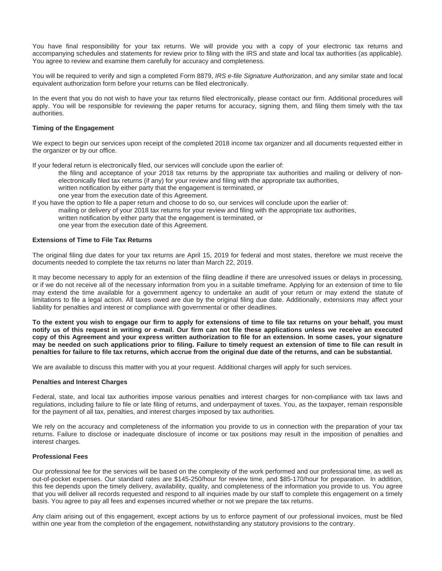You have final responsibility for your tax returns. We will provide you with a copy of your electronic tax returns and accompanying schedules and statements for review prior to filing with the IRS and state and local tax authorities (as applicable). You agree to review and examine them carefully for accuracy and completeness.

You will be required to verify and sign a completed Form 8879, *IRS e-file Signature Authorization*, and any similar state and local equivalent authorization form before your returns can be filed electronically.

In the event that you do not wish to have your tax returns filed electronically, please contact our firm. Additional procedures will apply. You will be responsible for reviewing the paper returns for accuracy, signing them, and filing them timely with the tax authorities.

# **Timing of the Engagement**

We expect to begin our services upon receipt of the completed 2018 income tax organizer and all documents requested either in the organizer or by our office.

If your federal return is electronically filed, our services will conclude upon the earlier of:

- the filing and acceptance of your 2018 tax returns by the appropriate tax authorities and mailing or delivery of nonelectronically filed tax returns (if any) for your review and filing with the appropriate tax authorities, written notification by either party that the engagement is terminated, or
- one year from the execution date of this Agreement.
- If you have the option to file a paper return and choose to do so, our services will conclude upon the earlier of: mailing or delivery of your 2018 tax returns for your review and filing with the appropriate tax authorities, written notification by either party that the engagement is terminated, or one year from the execution date of this Agreement.

# **Extensions of Time to File Tax Returns**

The original filing due dates for your tax returns are April 15, 2019 for federal and most states, therefore we must receive the documents needed to complete the tax returns no later than March 22, 2019.

It may become necessary to apply for an extension of the filing deadline if there are unresolved issues or delays in processing, or if we do not receive all of the necessary information from you in a suitable timeframe. Applying for an extension of time to file may extend the time available for a government agency to undertake an audit of your return or may extend the statute of limitations to file a legal action. All taxes owed are due by the original filing due date. Additionally, extensions may affect your liability for penalties and interest or compliance with governmental or other deadlines.

**To the extent you wish to engage our firm to apply for extensions of time to file tax returns on your behalf, you must notify us of this request in writing or e-mail. Our firm can not file these applications unless we receive an executed copy of this Agreement and your express written authorization to file for an extension. In some cases, your signature may be needed on such applications prior to filing. Failure to timely request an extension of time to file can result in penalties for failure to file tax returns, which accrue from the original due date of the returns, and can be substantial.**

We are available to discuss this matter with you at your request. Additional charges will apply for such services.

### **Penalties and Interest Charges**

Federal, state, and local tax authorities impose various penalties and interest charges for non-compliance with tax laws and regulations, including failure to file or late filing of returns, and underpayment of taxes. You, as the taxpayer, remain responsible for the payment of all tax, penalties, and interest charges imposed by tax authorities.

We rely on the accuracy and completeness of the information you provide to us in connection with the preparation of your tax returns. Failure to disclose or inadequate disclosure of income or tax positions may result in the imposition of penalties and interest charges.

### **Professional Fees**

Our professional fee for the services will be based on the complexity of the work performed and our professional time, as well as out-of-pocket expenses. Our standard rates are \$145-250/hour for review time, and \$85-170/hour for preparation. In addition, this fee depends upon the timely delivery, availability, quality, and completeness of the information you provide to us. You agree that you will deliver all records requested and respond to all inquiries made by our staff to complete this engagement on a timely basis. You agree to pay all fees and expenses incurred whether or not we prepare the tax returns.

Any claim arising out of this engagement, except actions by us to enforce payment of our professional invoices, must be filed within one year from the completion of the engagement, notwithstanding any statutory provisions to the contrary.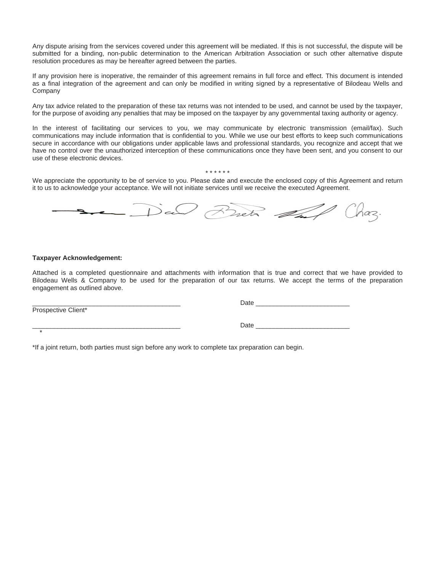Any dispute arising from the services covered under this agreement will be mediated. If this is not successful, the dispute will be submitted for a binding, non-public determination to the American Arbitration Association or such other alternative dispute resolution procedures as may be hereafter agreed between the parties.

If any provision here is inoperative, the remainder of this agreement remains in full force and effect. This document is intended as a final integration of the agreement and can only be modified in writing signed by a representative of Bilodeau Wells and Company

Any tax advice related to the preparation of these tax returns was not intended to be used, and cannot be used by the taxpayer, for the purpose of avoiding any penalties that may be imposed on the taxpayer by any governmental taxing authority or agency.

In the interest of facilitating our services to you, we may communicate by electronic transmission (email/fax). Such communications may include information that is confidential to you. While we use our best efforts to keep such communications secure in accordance with our obligations under applicable laws and professional standards, you recognize and accept that we have no control over the unauthorized interception of these communications once they have been sent, and you consent to our use of these electronic devices.

\* \* \* \* \* \*

We appreciate the opportunity to be of service to you. Please date and execute the enclosed copy of this Agreement and return it to us to acknowledge your acceptance. We will not initiate services until we receive the executed Agreement.



# **Taxpayer Acknowledgement:**

Attached is a completed questionnaire and attachments with information that is true and correct that we have provided to Bilodeau Wells & Company to be used for the preparation of our tax returns. We accept the terms of the preparation engagement as outlined above.

Prospective Client\*

\*

\_\_\_\_\_\_\_\_\_\_\_\_\_\_\_\_\_\_\_\_\_\_\_\_\_\_\_\_\_\_\_\_\_\_\_\_\_\_\_\_\_ Date \_\_\_\_\_\_\_\_\_\_\_\_\_\_\_\_\_\_\_\_\_\_\_\_\_\_

\_\_\_\_\_\_\_\_\_\_\_\_\_\_\_\_\_\_\_\_\_\_\_\_\_\_\_\_\_\_\_\_\_\_\_\_\_\_\_\_\_ Date \_\_\_\_\_\_\_\_\_\_\_\_\_\_\_\_\_\_\_\_\_\_\_\_\_\_

\*If a joint return, both parties must sign before any work to complete tax preparation can begin.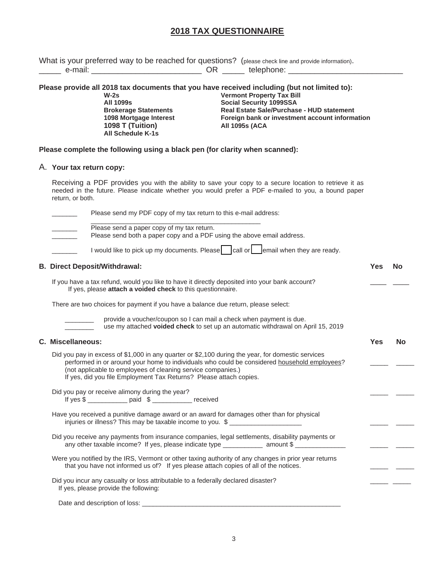# **2018 TAX QUESTIONNAIRE**

| What is your preferred way to be reached for questions? (please check line and provide information).<br>____ e-mail: ____________________________ OR ______ telephone: _________________                                                                                                                                                                                                                                   |            |           |
|----------------------------------------------------------------------------------------------------------------------------------------------------------------------------------------------------------------------------------------------------------------------------------------------------------------------------------------------------------------------------------------------------------------------------|------------|-----------|
|                                                                                                                                                                                                                                                                                                                                                                                                                            |            |           |
| Please provide all 2018 tax documents that you have received including (but not limited to):<br><b>Vermont Property Tax Bill</b><br>$W-2s$<br><b>All 1099s</b><br>Social Security 1099SSA<br>Real Estate Sale/Purchase - HUD statement<br><b>Brokerage Statements</b><br>Foreign bank or investment account information<br>1098 Mortgage Interest<br>1098 T (Tuition)<br><b>All 1095s (ACA</b><br><b>All Schedule K-1s</b> |            |           |
| Please complete the following using a black pen (for clarity when scanned):                                                                                                                                                                                                                                                                                                                                                |            |           |
| A. Your tax return copy:                                                                                                                                                                                                                                                                                                                                                                                                   |            |           |
| Receiving a PDF provides you with the ability to save your copy to a secure location to retrieve it as<br>needed in the future. Please indicate whether you would prefer a PDF e-mailed to you, a bound paper<br>return, or both.                                                                                                                                                                                          |            |           |
| Please send my PDF copy of my tax return to this e-mail address:                                                                                                                                                                                                                                                                                                                                                           |            |           |
| Please send a paper copy of my tax return.<br>Please send both a paper copy and a PDF using the above email address.                                                                                                                                                                                                                                                                                                       |            |           |
| I would like to pick up my documents. Please call or each lemail when they are ready.                                                                                                                                                                                                                                                                                                                                      |            |           |
| <b>B. Direct Deposit/Withdrawal:</b>                                                                                                                                                                                                                                                                                                                                                                                       | <b>Yes</b> | <b>No</b> |
| If you have a tax refund, would you like to have it directly deposited into your bank account?<br>If yes, please attach a voided check to this questionnaire.                                                                                                                                                                                                                                                              |            |           |
| There are two choices for payment if you have a balance due return, please select:                                                                                                                                                                                                                                                                                                                                         |            |           |
| provide a voucher/coupon so I can mail a check when payment is due.<br>use my attached voided check to set up an automatic withdrawal on April 15, 2019                                                                                                                                                                                                                                                                    |            |           |
| C. Miscellaneous:                                                                                                                                                                                                                                                                                                                                                                                                          | <b>Yes</b> | <b>No</b> |
| Did you pay in excess of \$1,000 in any quarter or \$2,100 during the year, for domestic services<br>performed in or around your home to individuals who could be considered household employees?<br>(not applicable to employees of cleaning service companies.)<br>If yes, did you file Employment Tax Returns? Please attach copies.                                                                                    |            |           |
| Did you pay or receive alimony during the year?<br>If yes \$                                                                                                                                                                                                                                                                                                                                                               |            |           |
| Have you received a punitive damage award or an award for damages other than for physical<br>injuries or illness? This may be taxable income to you. \$                                                                                                                                                                                                                                                                    |            |           |
| Did you receive any payments from insurance companies, legal settlements, disability payments or<br>any other taxable income? If yes, please indicate type _____________ amount \$                                                                                                                                                                                                                                         |            |           |
| Were you notified by the IRS, Vermont or other taxing authority of any changes in prior year returns<br>that you have not informed us of? If yes please attach copies of all of the notices.                                                                                                                                                                                                                               |            |           |
| Did you incur any casualty or loss attributable to a federally declared disaster?<br>If yes, please provide the following:                                                                                                                                                                                                                                                                                                 |            |           |
|                                                                                                                                                                                                                                                                                                                                                                                                                            |            |           |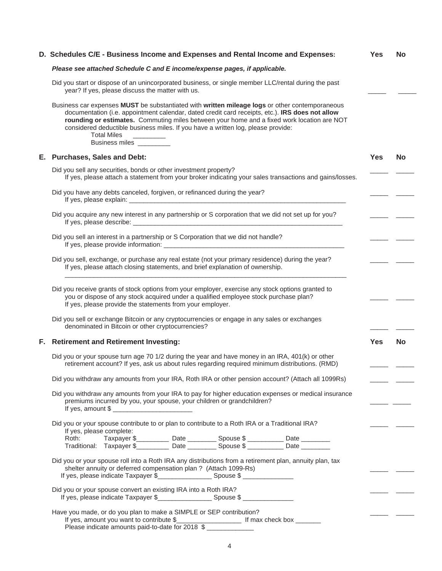| D. Schedules C/E - Business Income and Expenses and Rental Income and Expenses: |                                                                                                                                                                                                                                                                                                                                                                                                                                        |  |  |  |            |           |  |  |
|---------------------------------------------------------------------------------|----------------------------------------------------------------------------------------------------------------------------------------------------------------------------------------------------------------------------------------------------------------------------------------------------------------------------------------------------------------------------------------------------------------------------------------|--|--|--|------------|-----------|--|--|
|                                                                                 | Please see attached Schedule C and E income/expense pages, if applicable.                                                                                                                                                                                                                                                                                                                                                              |  |  |  |            |           |  |  |
|                                                                                 | Did you start or dispose of an unincorporated business, or single member LLC/rental during the past<br>year? If yes, please discuss the matter with us.                                                                                                                                                                                                                                                                                |  |  |  |            |           |  |  |
|                                                                                 | Business car expenses MUST be substantiated with written mileage logs or other contemporaneous<br>documentation (i.e. appointment calendar, dated credit card receipts, etc.). IRS does not allow<br>rounding or estimates. Commuting miles between your home and a fixed work location are NOT<br>considered deductible business miles. If you have a written log, please provide:<br><b>Total Miles</b><br>Business miles __________ |  |  |  |            |           |  |  |
|                                                                                 | E. Purchases, Sales and Debt:                                                                                                                                                                                                                                                                                                                                                                                                          |  |  |  | <b>Yes</b> | <b>No</b> |  |  |
|                                                                                 | Did you sell any securities, bonds or other investment property?<br>If yes, please attach a statement from your broker indicating your sales transactions and gains/losses.                                                                                                                                                                                                                                                            |  |  |  |            |           |  |  |
|                                                                                 | Did you have any debts canceled, forgiven, or refinanced during the year?                                                                                                                                                                                                                                                                                                                                                              |  |  |  |            |           |  |  |
|                                                                                 | Did you acquire any new interest in any partnership or S corporation that we did not set up for you?                                                                                                                                                                                                                                                                                                                                   |  |  |  |            |           |  |  |
|                                                                                 | Did you sell an interest in a partnership or S Corporation that we did not handle?                                                                                                                                                                                                                                                                                                                                                     |  |  |  |            |           |  |  |
|                                                                                 | Did you sell, exchange, or purchase any real estate (not your primary residence) during the year?<br>If yes, please attach closing statements, and brief explanation of ownership.                                                                                                                                                                                                                                                     |  |  |  |            |           |  |  |
|                                                                                 | Did you receive grants of stock options from your employer, exercise any stock options granted to<br>you or dispose of any stock acquired under a qualified employee stock purchase plan?<br>If yes, please provide the statements from your employer.                                                                                                                                                                                 |  |  |  |            |           |  |  |
|                                                                                 | Did you sell or exchange Bitcoin or any cryptocurrencies or engage in any sales or exchanges<br>denominated in Bitcoin or other cryptocurrencies?                                                                                                                                                                                                                                                                                      |  |  |  |            |           |  |  |
|                                                                                 | F. Retirement and Retirement Investing:                                                                                                                                                                                                                                                                                                                                                                                                |  |  |  | <b>Yes</b> | <b>No</b> |  |  |
|                                                                                 | Did you or your spouse turn age 70 1/2 during the year and have money in an IRA, 401(k) or other<br>retirement account? If yes, ask us about rules regarding required minimum distributions. (RMD)                                                                                                                                                                                                                                     |  |  |  |            |           |  |  |
|                                                                                 | Did you withdraw any amounts from your IRA, Roth IRA or other pension account? (Attach all 1099Rs)                                                                                                                                                                                                                                                                                                                                     |  |  |  |            |           |  |  |
|                                                                                 | Did you withdraw any amounts from your IRA to pay for higher education expenses or medical insurance<br>premiums incurred by you, your spouse, your children or grandchildren?                                                                                                                                                                                                                                                         |  |  |  |            |           |  |  |
|                                                                                 | Did you or your spouse contribute to or plan to contribute to a Roth IRA or a Traditional IRA?<br>If yes, please complete:                                                                                                                                                                                                                                                                                                             |  |  |  |            |           |  |  |
|                                                                                 | Roth: Taxpayer \$___________ Date _________ Spouse \$ __________ Date _________<br>Traditional: Taxpayer \$__________ Date _________ Spouse \$ __________ Date _______                                                                                                                                                                                                                                                                 |  |  |  |            |           |  |  |
|                                                                                 | Did you or your spouse roll into a Roth IRA any distributions from a retirement plan, annuity plan, tax<br>shelter annuity or deferred compensation plan ? (Attach 1099-Rs)                                                                                                                                                                                                                                                            |  |  |  |            |           |  |  |
|                                                                                 | Did you or your spouse convert an existing IRA into a Roth IRA?<br>If yes, please indicate Taxpayer \$                                                                                                                                                                                                                                                                                                                                 |  |  |  |            |           |  |  |
|                                                                                 | Have you made, or do you plan to make a SIMPLE or SEP contribution?                                                                                                                                                                                                                                                                                                                                                                    |  |  |  |            |           |  |  |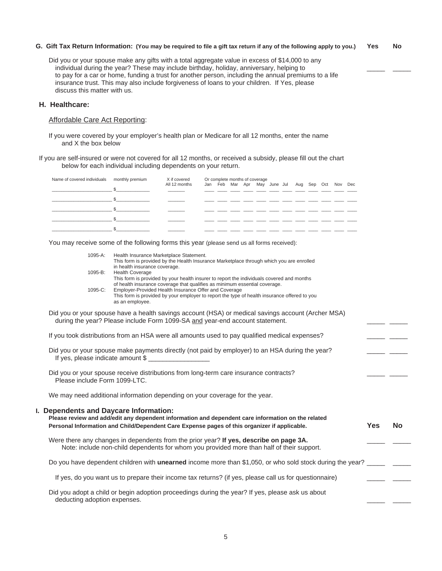### **G. Gift Tax Return Information: (You may be required to file a gift tax return if any of the following apply to you.) Yes No**

Did you or your spouse make any gifts with a total aggregate value in excess of \$14,000 to any individual during the year? These may include birthday, holiday, anniversary, helping to to pay for a car or home, funding a trust for another person, including the annual premiums to a life insurance trust. This may also include forgiveness of loans to your children. If Yes, please discuss this matter with us.

# **H. Healthcare:**

# Affordable Care Act Reporting:

If you were covered by your employer's health plan or Medicare for all 12 months, enter the name and X the box below

If you are self-insured or were not covered for all 12 months, or received a subsidy, please fill out the chart below for each individual including dependents on your return.

| Name of covered individuals monthly premium | X if covered<br>All 12 months |  | Or complete months of coverage<br>Jan Feb Mar Apr May June Jul Aug Sep Oct Nov Dec |  |  |  |  |  |  |  |  |  |  |
|---------------------------------------------|-------------------------------|--|------------------------------------------------------------------------------------|--|--|--|--|--|--|--|--|--|--|
|                                             |                               |  |                                                                                    |  |  |  |  |  |  |  |  |  |  |
|                                             |                               |  |                                                                                    |  |  |  |  |  |  |  |  |  |  |
|                                             |                               |  |                                                                                    |  |  |  |  |  |  |  |  |  |  |
|                                             |                               |  |                                                                                    |  |  |  |  |  |  |  |  |  |  |
|                                             |                               |  |                                                                                    |  |  |  |  |  |  |  |  |  |  |

You may receive some of the following forms this year (please send us all forms received):

| 1095-A:                       | Health Insurance Marketplace Statement.<br>This form is provided by the Health Insurance Marketplace through which you are enrolled                                                                |            |           |
|-------------------------------|----------------------------------------------------------------------------------------------------------------------------------------------------------------------------------------------------|------------|-----------|
| 1095-B:                       | in health insurance coverage.<br><b>Health Coverage</b>                                                                                                                                            |            |           |
|                               | This form is provided by your health insurer to report the individuals covered and months<br>of health insurance coverage that qualifies as minimum essential coverage.                            |            |           |
| 1095-C:                       | Employer-Provided Health Insurance Offer and Coverage<br>This form is provided by your employer to report the type of health insurance offered to you<br>as an employee.                           |            |           |
|                               | Did you or your spouse have a health savings account (HSA) or medical savings account (Archer MSA)<br>during the year? Please include Form 1099-SA and year-end account statement.                 |            |           |
|                               | If you took distributions from an HSA were all amounts used to pay qualified medical expenses?                                                                                                     |            |           |
|                               | Did you or your spouse make payments directly (not paid by employer) to an HSA during the year?                                                                                                    |            |           |
| Please include Form 1099-LTC. | Did you or your spouse receive distributions from long-term care insurance contracts?                                                                                                              |            |           |
|                               | We may need additional information depending on your coverage for the year.                                                                                                                        |            |           |
|                               | I. Dependents and Daycare Information:                                                                                                                                                             |            |           |
|                               | Please review and add/edit any dependent information and dependent care information on the related<br>Personal Information and Child/Dependent Care Expense pages of this organizer if applicable. | <b>Yes</b> | <b>No</b> |
|                               | Were there any changes in dependents from the prior year? If yes, describe on page 3A.<br>Note: include non-child dependents for whom you provided more than half of their support.                |            |           |
|                               | Do you have dependent children with <b>unearned</b> income more than \$1,050, or who sold stock during the year?                                                                                   |            |           |
|                               | If yes, do you want us to prepare their income tax returns? (if yes, please call us for questionnaire)                                                                                             |            |           |
| deducting adoption expenses.  | Did you adopt a child or begin adoption proceedings during the year? If yes, please ask us about                                                                                                   |            |           |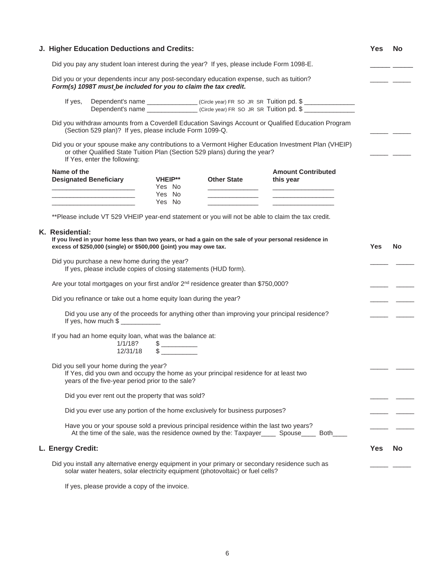| J. Higher Education Deductions and Credits: |                                                                                                                                                                                       |                                            |                                                                                                 |                                                                                                                                                            |            | <b>No</b> |
|---------------------------------------------|---------------------------------------------------------------------------------------------------------------------------------------------------------------------------------------|--------------------------------------------|-------------------------------------------------------------------------------------------------|------------------------------------------------------------------------------------------------------------------------------------------------------------|------------|-----------|
|                                             |                                                                                                                                                                                       |                                            | Did you pay any student loan interest during the year? If yes, please include Form 1098-E.      |                                                                                                                                                            |            |           |
|                                             | Form(s) 1098T must be included for you to claim the tax credit.                                                                                                                       |                                            | Did you or your dependents incur any post-secondary education expense, such as tuition?         |                                                                                                                                                            |            |           |
| If yes,                                     |                                                                                                                                                                                       |                                            |                                                                                                 | Dependent's name _________________(Circle year) FR SO JR SR Tuition pd. \$ _____________                                                                   |            |           |
|                                             | (Section 529 plan)? If yes, please include Form 1099-Q.                                                                                                                               |                                            |                                                                                                 | Did you withdraw amounts from a Coverdell Education Savings Account or Qualified Education Program                                                         |            |           |
|                                             | If Yes, enter the following:                                                                                                                                                          |                                            | or other Qualified State Tuition Plan (Section 529 plans) during the year?                      | Did you or your spouse make any contributions to a Vermont Higher Education Investment Plan (VHEIP)                                                        |            |           |
| Name of the                                 | <b>Designated Beneficiary</b>                                                                                                                                                         | <b>VHEIP**</b><br>Yes No<br>Yes No         | <b>Other State</b>                                                                              | <b>Amount Contributed</b><br>this year                                                                                                                     |            |           |
|                                             | <u> 1989 - Johann Barbara, martin amerikan ba</u><br><u> 1989 - Johann Stein, markinsk politik (d. 1989)</u>                                                                          | Yes No                                     | <u> 1990 - Johann Barnett, fransk kong</u>                                                      | <u>production of the contract of the contract of</u><br>** Please include VT 529 VHEIP year-end statement or you will not be able to claim the tax credit. |            |           |
|                                             | excess of \$250,000 (single) or \$500,000 (joint) you may owe tax.<br>Did you purchase a new home during the year?<br>If yes, please include copies of closing statements (HUD form). |                                            |                                                                                                 |                                                                                                                                                            | <b>Yes</b> | <b>No</b> |
|                                             |                                                                                                                                                                                       |                                            | Are your total mortgages on your first and/or 2 <sup>nd</sup> residence greater than \$750,000? |                                                                                                                                                            |            |           |
|                                             | Did you refinance or take out a home equity loan during the year?                                                                                                                     |                                            |                                                                                                 |                                                                                                                                                            |            |           |
|                                             |                                                                                                                                                                                       |                                            |                                                                                                 | Did you use any of the proceeds for anything other than improving your principal residence?                                                                |            |           |
|                                             | If you had an home equity loan, what was the balance at:<br>1/1/18?<br>12/31/18                                                                                                       | $\qquad \qquad \$$<br>$\frac{1}{\sqrt{2}}$ |                                                                                                 |                                                                                                                                                            |            |           |
|                                             | Did you sell your home during the year?<br>years of the five-year period prior to the sale?                                                                                           |                                            | If Yes, did you own and occupy the home as your principal residence for at least two            |                                                                                                                                                            |            |           |
|                                             | Did you ever rent out the property that was sold?                                                                                                                                     |                                            |                                                                                                 |                                                                                                                                                            |            |           |
|                                             |                                                                                                                                                                                       |                                            | Did you ever use any portion of the home exclusively for business purposes?                     |                                                                                                                                                            |            |           |
|                                             |                                                                                                                                                                                       |                                            | Have you or your spouse sold a previous principal residence within the last two years?          | At the time of the sale, was the residence owned by the: Taxpayer Spouse Both                                                                              |            |           |
| L. Energy Credit:                           |                                                                                                                                                                                       |                                            |                                                                                                 |                                                                                                                                                            | Yes        | <b>No</b> |
|                                             |                                                                                                                                                                                       |                                            | solar water heaters, solar electricity equipment (photovoltaic) or fuel cells?                  | Did you install any alternative energy equipment in your primary or secondary residence such as                                                            |            |           |

If yes, please provide a copy of the invoice.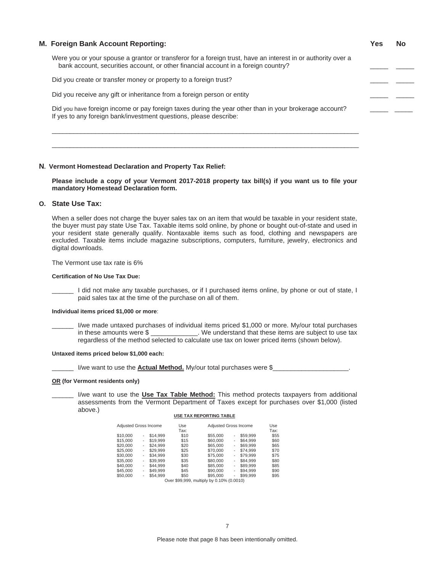# **M. Foreign Bank Account Reporting: Yes No** Were you or your spouse a grantor or transferor for a foreign trust, have an interest in or authority over a bank account, securities account, or other financial account in a foreign country? Did you create or transfer money or property to a foreign trust? Did you receive any gift or inheritance from a foreign person or entity Did you have foreign income or pay foreign taxes during the year other than in your brokerage account? If yes to any foreign bank/investment questions, please describe: \_\_\_\_\_\_\_\_\_\_\_\_\_\_\_\_\_\_\_\_\_\_\_\_\_\_\_\_\_\_\_\_\_\_\_\_\_\_\_\_\_\_\_\_\_\_\_\_\_\_\_\_\_\_\_\_\_\_\_\_\_\_\_\_\_\_\_\_\_\_\_\_\_\_\_\_\_\_\_\_\_\_\_\_\_

# **N. Vermont Homestead Declaration and Property Tax Relief:**

**Please include a copy of your Vermont 2017-2018 property tax bill(s) if you want us to file your mandatory Homestead Declaration form.**

\_\_\_\_\_\_\_\_\_\_\_\_\_\_\_\_\_\_\_\_\_\_\_\_\_\_\_\_\_\_\_\_\_\_\_\_\_\_\_\_\_\_\_\_\_\_\_\_\_\_\_\_\_\_\_\_\_\_\_\_\_\_\_\_\_\_\_\_\_\_\_\_\_\_\_\_\_\_\_\_\_\_\_\_\_

# **O. State Use Tax:**

When a seller does not charge the buyer sales tax on an item that would be taxable in your resident state, the buyer must pay state Use Tax. Taxable items sold online, by phone or bought out-of-state and used in your resident state generally qualify. Nontaxable items such as food, clothing and newspapers are excluded. Taxable items include magazine subscriptions, computers, furniture, jewelry, electronics and digital downloads.

The Vermont use tax rate is 6%

#### **Certification of No Use Tax Due:**

I did not make any taxable purchases, or if I purchased items online, by phone or out of state, I paid sales tax at the time of the purchase on all of them.

#### **Individual items priced \$1,000 or more**:

I/we made untaxed purchases of individual items priced \$1,000 or more. My/our total purchases in these amounts were \$ \_\_\_\_\_\_\_\_\_\_\_\_\_. We understand that these items are subject to use tax regardless of the method selected to calculate use tax on lower priced items (shown below).

#### **Untaxed items priced below \$1,000 each:**

\_\_\_\_\_\_ I/we want to use the **Actual Method.** My/our total purchases were \$\_\_\_\_\_\_\_\_\_\_\_\_\_\_\_\_\_\_\_\_\_.

### **OR (for Vermont residents only)**

I/we want to use the **Use Tax Table Method:** This method protects taxpayers from additional assessments from the Vermont Department of Taxes except for purchases over \$1,000 (listed above.) **USE TAX REPORTING TABLE**

| Adiusted Gross Income |   |          | Use<br>Tax:   | Adiusted Gross Income      |   |          | Use<br>Tax: |
|-----------------------|---|----------|---------------|----------------------------|---|----------|-------------|
| \$10,000              | ۰ | \$14.999 | \$10          | \$55,000                   | ۰ | \$59.999 | \$55        |
| \$15,000              | ٠ | \$19,999 | \$15          | \$60,000                   | ۰ | \$64.999 | \$60        |
| \$20,000              | ۰ | \$24.999 | \$20          | \$65,000                   | ۰ | \$69.999 | \$65        |
| \$25,000              | ٠ | \$29.999 | \$25          | \$70,000                   | ۰ | \$74.999 | \$70        |
| \$30,000              | ٠ | \$34.999 | \$30          | \$75,000                   | ۰ | \$79.999 | \$75        |
| \$35,000              | ۰ | \$39.999 | \$35          | \$80,000                   | ۰ | \$84.999 | \$80        |
| \$40,000              | ۰ | \$44.999 | \$40          | \$85,000                   | ۰ | \$89.999 | \$85        |
| \$45,000              | ٠ | \$49.999 | \$45          | \$90,000                   | ۰ | \$94.999 | \$90        |
| \$50,000              | ٠ | \$54.999 | \$50          | \$95,000                   | ۰ | \$99.999 | \$95        |
|                       |   |          | Over \$99,999 | multiply by 0.10% (0.0010) |   |          |             |

7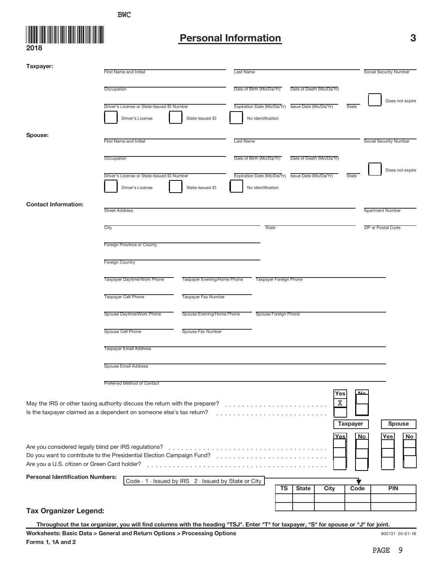

# **Personal Information 3**

| Taxpayer:                                             | <b>First Name and Initial</b>                                                                                                                                                                                                  |                             | <b>Last Name</b>         |                                                  |                          |                 | Social Security Number  |
|-------------------------------------------------------|--------------------------------------------------------------------------------------------------------------------------------------------------------------------------------------------------------------------------------|-----------------------------|--------------------------|--------------------------------------------------|--------------------------|-----------------|-------------------------|
|                                                       |                                                                                                                                                                                                                                |                             |                          |                                                  |                          |                 |                         |
|                                                       | Occupation                                                                                                                                                                                                                     |                             | Date of Birth (Mo/Da/Yr) |                                                  | Date of Death (Mo/Da/Yr) |                 |                         |
|                                                       | Driver's License or State-Issued ID Number                                                                                                                                                                                     |                             |                          | Expiration Date (Mo/Da/Yr) Issue Date (Mo/Da/Yr) |                          | State           | Does not expire         |
|                                                       | Driver's License                                                                                                                                                                                                               | State-Issued ID             | No Identification        |                                                  |                          |                 |                         |
| Spouse:                                               |                                                                                                                                                                                                                                |                             |                          |                                                  |                          |                 |                         |
|                                                       | <b>First Name and Initial</b>                                                                                                                                                                                                  |                             | Last Name                |                                                  |                          |                 | Social Security Number  |
|                                                       | Occupation                                                                                                                                                                                                                     |                             | Date of Birth (Mo/Da/Yr) |                                                  | Date of Death (Mo/Da/Yr) |                 |                         |
|                                                       | Driver's License or State-Issued ID Number                                                                                                                                                                                     |                             |                          | Expiration Date (Mo/Da/Yr) Issue Date (Mo/Da/Yr) |                          | State           | Does not expire         |
|                                                       | Driver's License                                                                                                                                                                                                               | State-Issued ID             | No Identification        |                                                  |                          |                 |                         |
| <b>Contact Information:</b>                           |                                                                                                                                                                                                                                |                             |                          |                                                  |                          |                 |                         |
|                                                       | <b>Street Address</b>                                                                                                                                                                                                          |                             |                          |                                                  |                          |                 | <b>Apartment Number</b> |
|                                                       | City                                                                                                                                                                                                                           |                             | <b>State</b>             |                                                  |                          |                 | ZIP or Postal Code      |
|                                                       | Foreign Province or County                                                                                                                                                                                                     |                             |                          |                                                  |                          |                 |                         |
|                                                       | <b>Foreign Country</b>                                                                                                                                                                                                         |                             |                          |                                                  |                          |                 |                         |
|                                                       |                                                                                                                                                                                                                                |                             |                          |                                                  |                          |                 |                         |
|                                                       | Taxpayer Daytime/Work Phone                                                                                                                                                                                                    | Taxpayer Evening/Home Phone |                          | <b>Taxpayer Foreign Phone</b>                    |                          |                 |                         |
|                                                       | <b>Taxpayer Cell Phone</b>                                                                                                                                                                                                     | Taxpayer Fax Number         |                          |                                                  |                          |                 |                         |
|                                                       | Spouse Daytime/Work Phone                                                                                                                                                                                                      | Spouse Evening/Home Phone   |                          | Spouse Foreign Phone                             |                          |                 |                         |
|                                                       | Spouse Cell Phone                                                                                                                                                                                                              | Spouse Fax Number           |                          |                                                  |                          |                 |                         |
|                                                       | <b>Taxpayer Email Address</b>                                                                                                                                                                                                  |                             |                          |                                                  |                          |                 |                         |
|                                                       | <b>Spouse Email Address</b>                                                                                                                                                                                                    |                             |                          |                                                  |                          |                 |                         |
|                                                       | Preferred Method of Contact                                                                                                                                                                                                    |                             |                          |                                                  |                          |                 |                         |
|                                                       | May the IRS or other taxing authority discuss the return with the preparer?<br>Is the taxpayer claimed as a dependent on someone else's tax return?                                                                            |                             |                          |                                                  | Yes<br>Χ                 |                 |                         |
|                                                       |                                                                                                                                                                                                                                |                             |                          |                                                  |                          | <b>Taxpayer</b> | Spouse                  |
| Are you considered legally blind per IRS regulations? | Do you want to contribute to the Presidential Election Campaign Fund? [[all cases is a contribute to the Presidential Election Campaign Fund? [[all cases is a contribute to the Presidential Election Campaign Fund? [[all ca |                             |                          |                                                  | <u>Yes</u>               | <b>No</b>       | Yes<br>No               |
| <b>Personal Identification Numbers:</b>               | Code - 1 - Issued by IRS 2 - Issued by State or City                                                                                                                                                                           |                             |                          |                                                  |                          |                 |                         |
|                                                       |                                                                                                                                                                                                                                |                             |                          | TS<br><b>State</b>                               | City                     | Code            | <b>PIN</b>              |
| <b>Tax Organizer Legend:</b>                          |                                                                                                                                                                                                                                |                             |                          |                                                  |                          |                 |                         |

800131 04-01-18 **Throughout the tax organizer, you will find columns with the heading "TSJ". Enter "T" for taxpayer, "S" for spouse or "J" for joint.**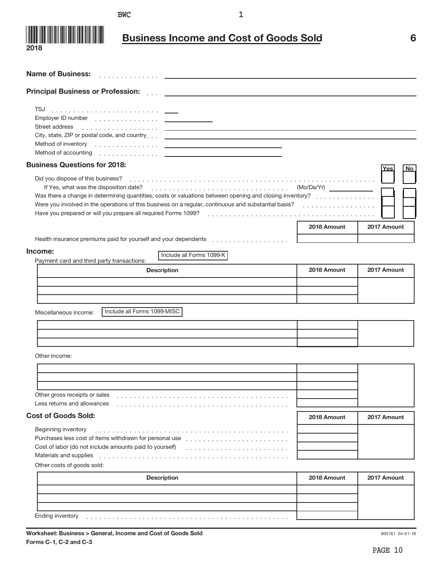**1** BWC 2

]]]]]]]]]]]]]]



**Name of Business:**

# **Business Income and Cost of Goods Sold 6**

| <b>Principal Business or Profession:</b>                                                                                                                                                                                                                                                                                                                                                                                                                                                                                                                                                           |             |                         |
|----------------------------------------------------------------------------------------------------------------------------------------------------------------------------------------------------------------------------------------------------------------------------------------------------------------------------------------------------------------------------------------------------------------------------------------------------------------------------------------------------------------------------------------------------------------------------------------------------|-------------|-------------------------|
| Street address<br>City, state, ZIP or postal code, and country et al. and produced and country and the control of the control of<br>Method of inventory entertainment and the control of the control of the control of the control of the control of the control of the control of the control of the control of the control of the control of the control of the<br>Method of accounting entertainment of the control of the control of the control of the control of the control of the control of the control of the control of the control of the control of the control of the control of the |             |                         |
| <b>Business Questions for 2018:</b>                                                                                                                                                                                                                                                                                                                                                                                                                                                                                                                                                                |             | <b>No</b><br><u>Yes</u> |
| Did you dispose of this business?<br>Was there a change in determining quantities, costs or valuations between opening and closing inventory?<br>Were you involved in the operations of this business on a regular, continuous and substantial basis?                                                                                                                                                                                                                                                                                                                                              |             |                         |
|                                                                                                                                                                                                                                                                                                                                                                                                                                                                                                                                                                                                    | 2018 Amount | 2017 Amount             |
| Income:<br>Include all Forms 1099-K<br>Payment card and third party transactions:                                                                                                                                                                                                                                                                                                                                                                                                                                                                                                                  |             |                         |
| <b>Description</b>                                                                                                                                                                                                                                                                                                                                                                                                                                                                                                                                                                                 | 2018 Amount | 2017 Amount             |
| Include all Forms 1099-MISC<br>Miscellaneous income:                                                                                                                                                                                                                                                                                                                                                                                                                                                                                                                                               |             |                         |
| Other Income:                                                                                                                                                                                                                                                                                                                                                                                                                                                                                                                                                                                      |             |                         |
| Other gross receipts or sales<br>Less returns and allowances                                                                                                                                                                                                                                                                                                                                                                                                                                                                                                                                       |             |                         |
| <b>Cost of Goods Sold:</b>                                                                                                                                                                                                                                                                                                                                                                                                                                                                                                                                                                         | 2018 Amount | 2017 Amount             |
| Beginning inventory<br>Cost of labor (do not include amounts paid to yourself)<br>Materials and supplies<br>Other costs of goods sold:                                                                                                                                                                                                                                                                                                                                                                                                                                                             |             |                         |
| <b>Description</b>                                                                                                                                                                                                                                                                                                                                                                                                                                                                                                                                                                                 | 2018 Amount | 2017 Amount             |
| Ending inventory                                                                                                                                                                                                                                                                                                                                                                                                                                                                                                                                                                                   |             |                         |

800161 04-01-18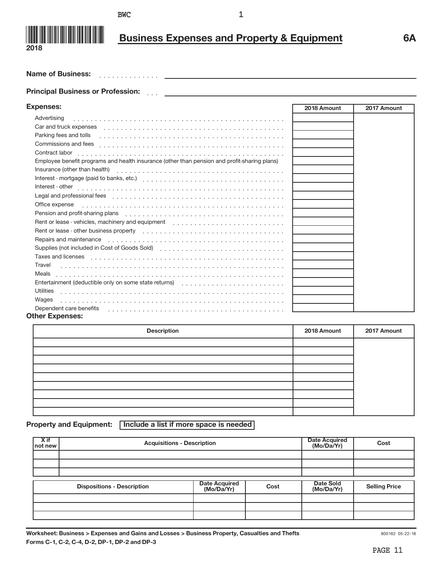

# **Business Expenses and Property & Equipment 6A**

]]]]]]]]]]]]]] PROSPECTIVE CLIENT **Name of Business:**

# ]]] **Principal Business or Profession:**

| <b>Expenses:</b>                                                                                                                                                                                                               | 2018 Amount | 2017 Amount |
|--------------------------------------------------------------------------------------------------------------------------------------------------------------------------------------------------------------------------------|-------------|-------------|
| Advertising                                                                                                                                                                                                                    |             |             |
| Car and truck expenses expenses and the contract of the contract of the contract of the contract of the contract of the contract of the contract of the contract of the contract of the contract of the contract of the contra |             |             |
| Parking fees and tolls entertainment and the contract of the contract of the contract of the contract of the contract of the contract of the contract of the contract of the contract of the contract of the contract of the c |             |             |
| Commissions and fees                                                                                                                                                                                                           |             |             |
| Contract labor                                                                                                                                                                                                                 |             |             |
| Employee benefit programs and health insurance (other than pension and profit-sharing plans)                                                                                                                                   |             |             |
|                                                                                                                                                                                                                                |             |             |
|                                                                                                                                                                                                                                |             |             |
|                                                                                                                                                                                                                                |             |             |
|                                                                                                                                                                                                                                |             |             |
| Office expense in the contract of the contract of the contract of the contract of the contract of the contract of the contract of the contract of the contract of the contract of the contract of the contract of the contract |             |             |
| Pension and profit-sharing plans enterstanding and profit and profit and profit sharing plans                                                                                                                                  |             |             |
|                                                                                                                                                                                                                                |             |             |
| Rent or lease - other business property (etc.), and according to the set of the set of the set of the set of the set of the set of the set of the set of the set of the set of the set of the set of the set of the set of the |             |             |
| Repairs and maintenance entries and subsequently contained and maintenance entries and maintenance of the set of the set of the set of the set of the set of the set of the set of the set of the set of the set of the set of |             |             |
| Supplies (not included in Cost of Goods Sold)                                                                                                                                                                                  |             |             |
|                                                                                                                                                                                                                                |             |             |
| Travel                                                                                                                                                                                                                         |             |             |
| Meals                                                                                                                                                                                                                          |             |             |
|                                                                                                                                                                                                                                |             |             |
| Utilities                                                                                                                                                                                                                      |             |             |
| Wages                                                                                                                                                                                                                          |             |             |
| Dependent care benefits                                                                                                                                                                                                        |             |             |
| <b>Other Expenses:</b>                                                                                                                                                                                                         |             |             |

| <b>Description</b> | 2018 Amount | 2017 Amount |
|--------------------|-------------|-------------|
|                    |             |             |
|                    |             |             |
|                    |             |             |
|                    |             |             |
|                    |             |             |
|                    |             |             |
|                    |             |             |
|                    |             |             |
|                    |             |             |

**Property and Equipment:** | Include a list if more space is needed |

| $X$ if<br>not new | <b>Acquisitions - Description</b> | Date Acquired<br>(Mo/Da/Yr)        | Cost |                         |                      |
|-------------------|-----------------------------------|------------------------------------|------|-------------------------|----------------------|
|                   |                                   |                                    |      |                         |                      |
|                   |                                   |                                    |      |                         |                      |
|                   |                                   |                                    |      |                         |                      |
|                   | <b>Dispositions - Description</b> | <b>Date Acquired</b><br>(Mo/Da/Yr) | Cost | Date Sold<br>(Mo/Da/Yr) | <b>Selling Price</b> |
|                   |                                   |                                    |      |                         |                      |
|                   |                                   |                                    |      |                         |                      |
|                   |                                   |                                    |      |                         |                      |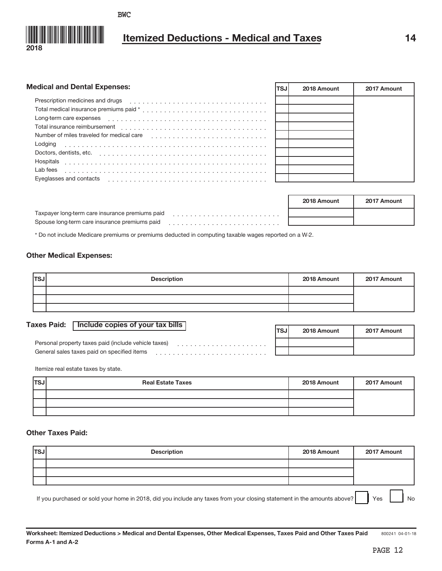

# **Itemized Deductions - Medical and Taxes 14**

| <b>Medical and Dental Expenses:</b>       | TSJ | 2018 Amount | 2017 Amount |
|-------------------------------------------|-----|-------------|-------------|
| Prescription medicines and drugs          |     |             |             |
|                                           |     |             |             |
|                                           |     |             |             |
| Total insurance reimbursement             |     |             |             |
| Number of miles traveled for medical care |     |             |             |
| Lodging                                   |     |             |             |
| Doctors, dentists, etc.                   |     |             |             |
| Hospitals                                 |     |             |             |
| Lab fees                                  |     |             |             |
| Eyeglasses and contacts                   |     |             |             |
|                                           |     |             |             |

|                                                 | 2018 Amount | 2017 Amount |
|-------------------------------------------------|-------------|-------------|
| Taxpayer long-term care insurance premiums paid |             |             |
| Spouse long-term care insurance premiums paid   |             |             |
|                                                 |             |             |

\* Do not include Medicare premiums or premiums deducted in computing taxable wages reported on a W-2.

# **Other Medical Expenses:**

| <b>TSJ</b> | <b>Description</b> | 2018 Amount | 2017 Amount |
|------------|--------------------|-------------|-------------|
|            |                    |             |             |
|            |                    |             |             |
|            |                    |             |             |

# Taxes Paid: | Include copies of your tax bills |

|                                                      | <b>TSJ</b> | 2018 Amount | 2017 Amount |
|------------------------------------------------------|------------|-------------|-------------|
| Personal property taxes paid (include vehicle taxes) |            |             |             |
| General sales taxes paid on specified items          |            |             |             |

Itemize real estate taxes by state.

| <b>ITSJ</b> | <b>Real Estate Taxes</b> | 2018 Amount | 2017 Amount |
|-------------|--------------------------|-------------|-------------|
|             |                          |             |             |
|             |                          |             |             |
|             |                          |             |             |

# **Other Taxes Paid:**

| <b>ITSJ</b> | <b>Description</b> | 2018 Amount | 2017 Amount |
|-------------|--------------------|-------------|-------------|
|             |                    |             |             |
|             |                    |             |             |
|             |                    |             |             |
|             |                    |             |             |

If you purchased or sold your home in 2018, did you include any taxes from your closing statement in the amounts above? Yes No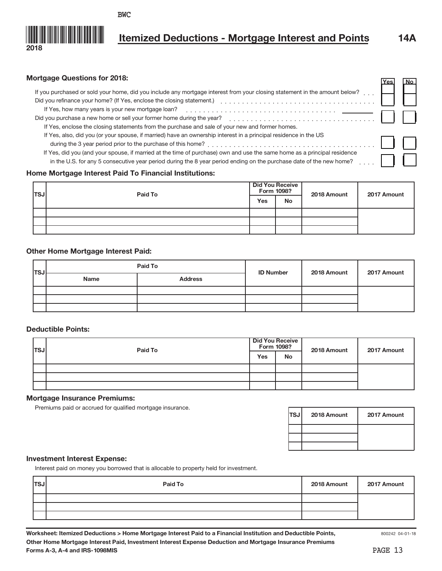

# **Mortgage Questions for 2018:**

| If you purchased or sold your home, did you include any mortgage interest from your closing statement in the amount below?<br>If Yes, how many years is your new mortgage loan?                                                                 |  |  |
|-------------------------------------------------------------------------------------------------------------------------------------------------------------------------------------------------------------------------------------------------|--|--|
| Did you purchase a new home or sell your former home during the year?<br>If Yes, enclose the closing statements from the purchase and sale of your new and former homes.                                                                        |  |  |
| If Yes, also, did you (or your spouse, if married) have an ownership interest in a principal residence in the US                                                                                                                                |  |  |
| If Yes, did you (and your spouse, if married at the time of purchase) own and use the same home as a principal residence<br>in the U.S. for any 5 consecutive year period during the 8 year period ending on the purchase date of the new home? |  |  |

# **Home Mortgage Interest Paid To Financial Institutions:**

| lTSJ | Paid To |     | <b>Did You Receive</b><br>Form 1098? | 2018 Amount | 2017 Amount |
|------|---------|-----|--------------------------------------|-------------|-------------|
|      |         | Yes | No                                   |             |             |
|      |         |     |                                      |             |             |
|      |         |     |                                      |             |             |
|      |         |     |                                      |             |             |

# **Other Home Mortgage Interest Paid:**

| <b>ITSJ</b> |      | Paid To<br><b>ID Number</b> | 2018 Amount | 2017 Amount |  |
|-------------|------|-----------------------------|-------------|-------------|--|
|             | Name | <b>Address</b>              |             |             |  |
|             |      |                             |             |             |  |
|             |      |                             |             |             |  |
|             |      |                             |             |             |  |

# **Deductible Points:**

| lTSJ | Paid To | Form 1098? | <b>Did You Receive</b> | 2018 Amount | 2017 Amount |
|------|---------|------------|------------------------|-------------|-------------|
|      |         | Yes        | <b>No</b>              |             |             |
|      |         |            |                        |             |             |
|      |         |            |                        |             |             |
|      |         |            |                        |             |             |

# **Mortgage Insurance Premiums:**

Premiums paid or accrued for qualified mortgage insurance.

| <b>ITSJI</b> | 2018 Amount | 2017 Amount |
|--------------|-------------|-------------|
|              |             |             |
|              |             |             |
|              |             |             |

# **Investment Interest Expense:**

Interest paid on money you borrowed that is allocable to property held for investment.

| <b>ITSJ</b> | Paid To | 2018 Amount | 2017 Amount |
|-------------|---------|-------------|-------------|
|             |         |             |             |
|             |         |             |             |
|             |         |             |             |

**Yes No**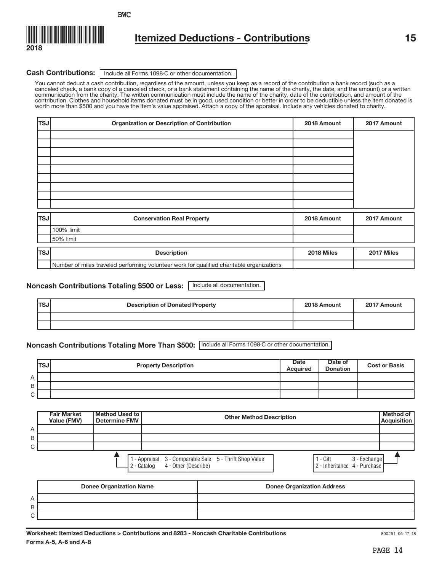

# **Itemized Deductions - Contributions 15**

# Cash Contributions: | Include all Forms 1098-C or other documentation.

You cannot deduct a cash contribution, regardless of the amount, unless you keep as a record of the contribution a bank record (such as a canceled check, a bank copy of a canceled check, or a bank statement containing the name of the charity, the date, and the amount) or a written communication from the charity. The written communication must include the name of the charity, date of the contribution, and amount of the contribution. Clothes and household items donated must be in good, used condition or better in order to be deductible unless the item donated is<br>worth more than \$500 and you have the item's value appraised. Attach a copy o

| $ \text{TSJ} $ | <b>Organization or Description of Contribution</b>                                        | 2018 Amount | 2017 Amount |
|----------------|-------------------------------------------------------------------------------------------|-------------|-------------|
|                |                                                                                           |             |             |
|                |                                                                                           |             |             |
|                |                                                                                           |             |             |
|                |                                                                                           |             |             |
|                |                                                                                           |             |             |
|                |                                                                                           |             |             |
|                |                                                                                           |             |             |
|                |                                                                                           |             |             |
| <b>TSJ</b>     | <b>Conservation Real Property</b>                                                         | 2018 Amount | 2017 Amount |
|                | 100% limit                                                                                |             |             |
|                | 50% limit                                                                                 |             |             |
| <b>TSJ</b>     | <b>Description</b>                                                                        | 2018 Miles  | 2017 Miles  |
|                | Number of miles traveled performing volunteer work for qualified charitable organizations |             |             |

# **Noncash Contributions Totaling \$500 or Less:** | Include all documentation.

| <b>TSJ</b> | <b>Description of Donated Property</b> | 2018 Amount | 2017 Amount |
|------------|----------------------------------------|-------------|-------------|
|            |                                        |             |             |
|            |                                        |             |             |

# **Noncash Contributions Totaling More Than \$500:** Include all Forms 1098-C or other documentation.

|   | <b>TSJ</b> | <b>Property Description</b> | <b>Date</b><br><b>Acquired</b> | Date of<br><b>Donation</b> | <b>Cost or Basis</b> |
|---|------------|-----------------------------|--------------------------------|----------------------------|----------------------|
| A |            |                             |                                |                            |                      |
| B |            |                             |                                |                            |                      |
| C |            |                             |                                |                            |                      |



|                   | <b>Donee Organization Name</b> | <b>Donee Organization Address</b> |
|-------------------|--------------------------------|-----------------------------------|
| А                 |                                |                                   |
| B                 |                                |                                   |
| ⌒<br>$\checkmark$ |                                |                                   |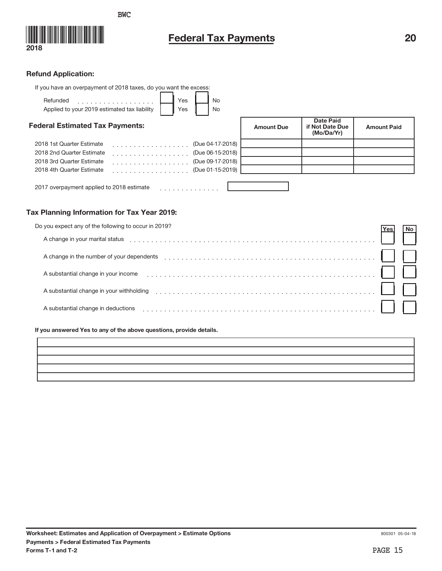



# **Federal Tax Payments** 20

# **Refund Application:**

| If you have an overpayment of 2018 taxes, do you want the excess:                              |                   |                                                   |                    |
|------------------------------------------------------------------------------------------------|-------------------|---------------------------------------------------|--------------------|
| Yes<br>Refunded<br><b>No</b><br>.<br>Applied to your 2019 estimated tax liability<br>Yes<br>No |                   |                                                   |                    |
| <b>Federal Estimated Tax Payments:</b>                                                         | <b>Amount Due</b> | <b>Date Paid</b><br>if Not Date Due<br>(Mo/Da/Yr) | <b>Amount Paid</b> |
| (Due 04-17-2018)<br>2018 1st Quarter Estimate<br>.                                             |                   |                                                   |                    |
| 2018 2nd Quarter Estimate<br>(Due 06-15-2018)<br>.                                             |                   |                                                   |                    |
| (Due 09-17-2018)<br>2018 3rd Quarter Estimate<br>.                                             |                   |                                                   |                    |
| 2018 4th Quarter Estimate<br>(Due 01-15-2019)<br>.                                             |                   |                                                   |                    |
| 2017 overpayment applied to 2018 estimate                                                      |                   |                                                   |                    |

# **Tax Planning Information for Tax Year 2019:**

| Do you expect any of the following to occur in 2019?                                                                                                                                                                           | res |  |
|--------------------------------------------------------------------------------------------------------------------------------------------------------------------------------------------------------------------------------|-----|--|
| A change in your marital status entertainment of the status of the status of the status of the status of the status of the status of the status of the status of the status of the status of the status of the status of the s |     |  |
| A change in the number of your dependents                                                                                                                                                                                      |     |  |
| A substantial change in your income                                                                                                                                                                                            |     |  |
| A substantial change in your withholding entertainment is an according to the substantial change in your withholding                                                                                                           |     |  |
| A substantial change in deductions                                                                                                                                                                                             |     |  |

**If you answered Yes to any of the above questions, provide details.**